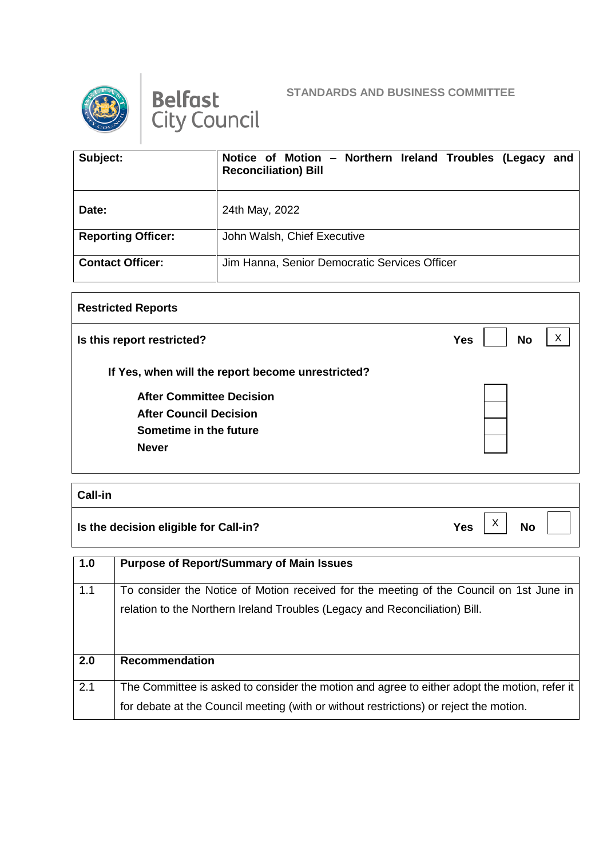

Belfast<br>City Council



| Subject:                  | Notice of Motion - Northern Ireland Troubles (Legacy and<br><b>Reconciliation) Bill</b> |
|---------------------------|-----------------------------------------------------------------------------------------|
| Date:                     | 24th May, 2022                                                                          |
| <b>Reporting Officer:</b> | John Walsh, Chief Executive                                                             |
| <b>Contact Officer:</b>   | Jim Hanna, Senior Democratic Services Officer                                           |

| <b>Restricted Reports</b>                         |                              |
|---------------------------------------------------|------------------------------|
| Is this report restricted?                        | X<br><b>No</b><br><b>Yes</b> |
| If Yes, when will the report become unrestricted? |                              |
| <b>After Committee Decision</b>                   |                              |
| <b>After Council Decision</b>                     |                              |
| Sometime in the future                            |                              |
| <b>Never</b>                                      |                              |
|                                                   |                              |

| <b>Call-in</b>                            |            |                           |           |  |
|-------------------------------------------|------------|---------------------------|-----------|--|
| $ $ Is the decision eligible for Call-in? | <b>Yes</b> | $\checkmark$<br>$\lambda$ | <b>No</b> |  |

| 1.0 | <b>Purpose of Report/Summary of Main Issues</b>                                                                                                                                        |
|-----|----------------------------------------------------------------------------------------------------------------------------------------------------------------------------------------|
| 1.1 | To consider the Notice of Motion received for the meeting of the Council on 1st June in<br>relation to the Northern Ireland Troubles (Legacy and Reconciliation) Bill.                 |
| 2.0 | Recommendation                                                                                                                                                                         |
| 2.1 | The Committee is asked to consider the motion and agree to either adopt the motion, refer it<br>for debate at the Council meeting (with or without restrictions) or reject the motion. |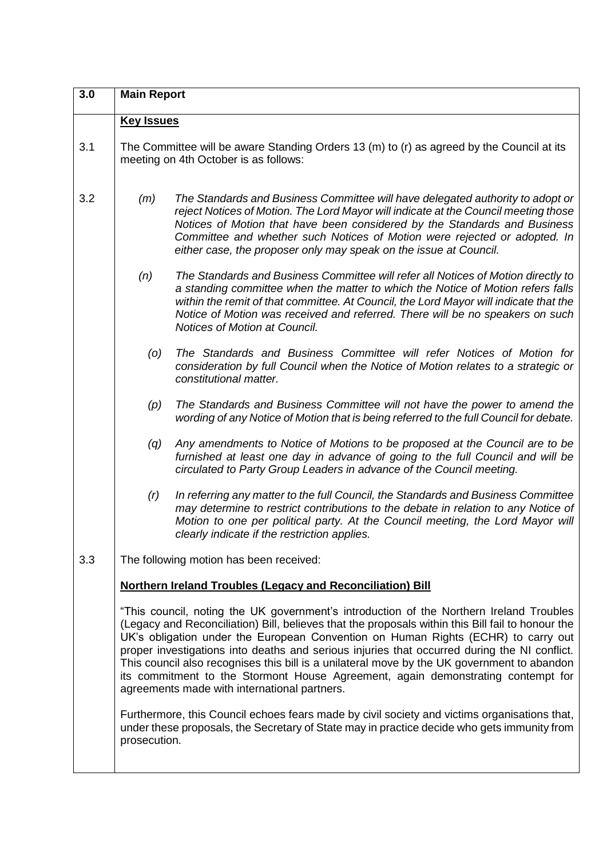| 3.0 | <b>Main Report</b>                                                                                                                                                                                                                                                                                                                                                                                                                                                                                                                                                                                                   |                                                                                                                                                                                                                                                                                                                                                                                                      |  |  |
|-----|----------------------------------------------------------------------------------------------------------------------------------------------------------------------------------------------------------------------------------------------------------------------------------------------------------------------------------------------------------------------------------------------------------------------------------------------------------------------------------------------------------------------------------------------------------------------------------------------------------------------|------------------------------------------------------------------------------------------------------------------------------------------------------------------------------------------------------------------------------------------------------------------------------------------------------------------------------------------------------------------------------------------------------|--|--|
|     | <b>Key Issues</b>                                                                                                                                                                                                                                                                                                                                                                                                                                                                                                                                                                                                    |                                                                                                                                                                                                                                                                                                                                                                                                      |  |  |
| 3.1 | The Committee will be aware Standing Orders 13 (m) to (r) as agreed by the Council at its<br>meeting on 4th October is as follows:                                                                                                                                                                                                                                                                                                                                                                                                                                                                                   |                                                                                                                                                                                                                                                                                                                                                                                                      |  |  |
| 3.2 | (m)                                                                                                                                                                                                                                                                                                                                                                                                                                                                                                                                                                                                                  | The Standards and Business Committee will have delegated authority to adopt or<br>reject Notices of Motion. The Lord Mayor will indicate at the Council meeting those<br>Notices of Motion that have been considered by the Standards and Business<br>Committee and whether such Notices of Motion were rejected or adopted. In<br>either case, the proposer only may speak on the issue at Council. |  |  |
|     | (n)                                                                                                                                                                                                                                                                                                                                                                                                                                                                                                                                                                                                                  | The Standards and Business Committee will refer all Notices of Motion directly to<br>a standing committee when the matter to which the Notice of Motion refers falls<br>within the remit of that committee. At Council, the Lord Mayor will indicate that the<br>Notice of Motion was received and referred. There will be no speakers on such<br>Notices of Motion at Council.                      |  |  |
|     | (0)                                                                                                                                                                                                                                                                                                                                                                                                                                                                                                                                                                                                                  | The Standards and Business Committee will refer Notices of Motion for<br>consideration by full Council when the Notice of Motion relates to a strategic or<br>constitutional matter.                                                                                                                                                                                                                 |  |  |
|     | (p)                                                                                                                                                                                                                                                                                                                                                                                                                                                                                                                                                                                                                  | The Standards and Business Committee will not have the power to amend the<br>wording of any Notice of Motion that is being referred to the full Council for debate.                                                                                                                                                                                                                                  |  |  |
|     | (q)                                                                                                                                                                                                                                                                                                                                                                                                                                                                                                                                                                                                                  | Any amendments to Notice of Motions to be proposed at the Council are to be<br>furnished at least one day in advance of going to the full Council and will be<br>circulated to Party Group Leaders in advance of the Council meeting.                                                                                                                                                                |  |  |
|     | (r)                                                                                                                                                                                                                                                                                                                                                                                                                                                                                                                                                                                                                  | In referring any matter to the full Council, the Standards and Business Committee<br>may determine to restrict contributions to the debate in relation to any Notice of<br>Motion to one per political party. At the Council meeting, the Lord Mayor will<br>clearly indicate if the restriction applies.                                                                                            |  |  |
| 3.3 | The following motion has been received:                                                                                                                                                                                                                                                                                                                                                                                                                                                                                                                                                                              |                                                                                                                                                                                                                                                                                                                                                                                                      |  |  |
|     | <b>Northern Ireland Troubles (Legacy and Reconciliation) Bill</b>                                                                                                                                                                                                                                                                                                                                                                                                                                                                                                                                                    |                                                                                                                                                                                                                                                                                                                                                                                                      |  |  |
|     | "This council, noting the UK government's introduction of the Northern Ireland Troubles<br>(Legacy and Reconciliation) Bill, believes that the proposals within this Bill fail to honour the<br>UK's obligation under the European Convention on Human Rights (ECHR) to carry out<br>proper investigations into deaths and serious injuries that occurred during the NI conflict.<br>This council also recognises this bill is a unilateral move by the UK government to abandon<br>its commitment to the Stormont House Agreement, again demonstrating contempt for<br>agreements made with international partners. |                                                                                                                                                                                                                                                                                                                                                                                                      |  |  |
|     | prosecution.                                                                                                                                                                                                                                                                                                                                                                                                                                                                                                                                                                                                         | Furthermore, this Council echoes fears made by civil society and victims organisations that,<br>under these proposals, the Secretary of State may in practice decide who gets immunity from                                                                                                                                                                                                          |  |  |